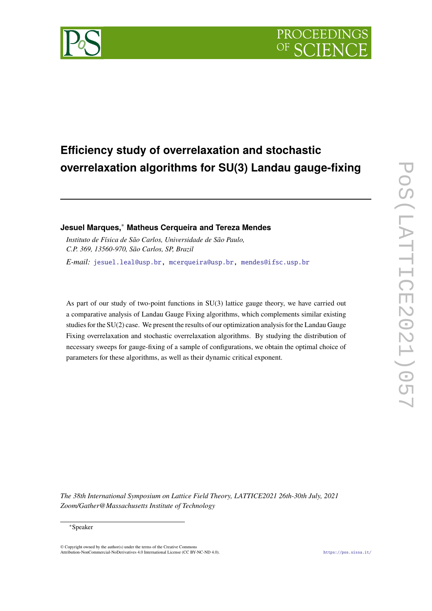

# **Efficiency study of overrelaxation and stochastic overrelaxation algorithms for SU(3) Landau gauge-fixing**

# **Jesuel Marques,**<sup>∗</sup> **Matheus Cerqueira and Tereza Mendes**

*Instituto de Física de São Carlos, Universidade de São Paulo, C.P. 369, 13560-970, São Carlos, SP, Brazil E-mail:* [jesuel.leal@usp.br,](mailto:jesuel.leal@usp.br) [mcerqueira@usp.br,](mailto:mcerqueira@usp.br) [mendes@ifsc.usp.br](mailto:mendes@ifsc.usp.br)

As part of our study of two-point functions in SU(3) lattice gauge theory, we have carried out a comparative analysis of Landau Gauge Fixing algorithms, which complements similar existing studies for the SU(2) case. We present the results of our optimization analysis for the Landau Gauge Fixing overrelaxation and stochastic overrelaxation algorithms. By studying the distribution of necessary sweeps for gauge-fixing of a sample of configurations, we obtain the optimal choice of parameters for these algorithms, as well as their dynamic critical exponent.

*The 38th International Symposium on Lattice Field Theory, LATTICE2021 26th-30th July, 2021 Zoom/Gather@Massachusetts Institute of Technology*

### <sup>∗</sup>Speaker

© Copyright owned by the author(s) under the terms of the Creative Common Attribution-NonCommercial-NoDerivatives 4.0 International License (CC BY-NC-ND 4.0). <https://pos.sissa.it/>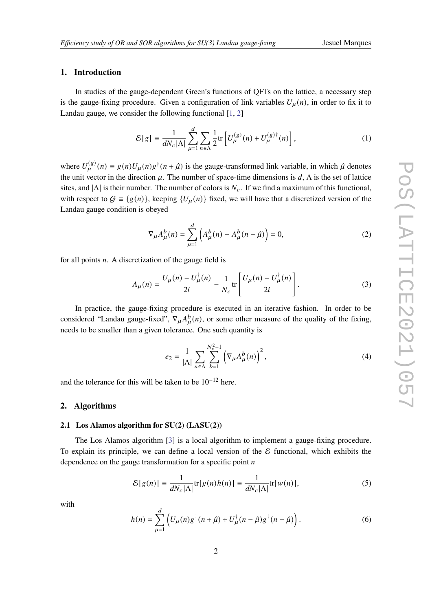# **1. Introduction**

In studies of the gauge-dependent Green's functions of QFTs on the lattice, a necessary step is the gauge-fixing procedure. Given a configuration of link variables  $U_{\mu}(n)$ , in order to fix it to Landau gauge, we consider the following functional [\[1,](#page-7-0) [2\]](#page-7-1)

<span id="page-1-1"></span>
$$
\mathcal{E}[g] \equiv \frac{1}{dN_c|\Lambda|} \sum_{\mu=1}^d \sum_{n \in \Lambda} \frac{1}{2} \text{tr} \left[ U^{(g)}_{\mu}(n) + U^{(g) \dagger}_{\mu}(n) \right],\tag{1}
$$

where  $U_{\mu}^{(g)}(n) \equiv g(n)U_{\mu}(n)g^{\dagger}(n+\hat{\mu})$  is the gauge-transformed link variable, in which  $\hat{\mu}$  denotes the unit vector in the direction  $\mu$ . The number of space-time dimensions is  $d$ ,  $\Lambda$  is the set of lattice sites, and  $|\Lambda|$  is their number. The number of colors is  $N_c$ . If we find a maximum of this functional, with respect to  $G = \{g(n)\}\$ , keeping  $\{U_\mu(n)\}\$  fixed, we will have that a discretized version of the Landau gauge condition is obeyed

$$
\nabla_{\mu}A_{\mu}^{b}(n) = \sum_{\mu=1}^{d} \left( A_{\mu}^{b}(n) - A_{\mu}^{b}(n - \hat{\mu}) \right) = 0, \tag{2}
$$

for all points  $n$ . A discretization of the gauge field is

$$
A_{\mu}(n) = \frac{U_{\mu}(n) - U_{\mu}^{\dagger}(n)}{2i} - \frac{1}{N_c} \text{tr}\left[\frac{U_{\mu}(n) - U_{\mu}^{\dagger}(n)}{2i}\right].
$$
 (3)

In practice, the gauge-fixing procedure is executed in an iterative fashion. In order to be considered "Landau gauge-fixed",  $\nabla_{\mu} A_{\mu}^{b}(n)$ , or some other measure of the quality of the fixing, needs to be smaller than a given tolerance. One such quantity is

$$
e_2 = \frac{1}{|\Lambda|} \sum_{n \in \Lambda} \sum_{b=1}^{N_c^2 - 1} \left( \nabla_{\mu} A_{\mu}^b(n) \right)^2, \tag{4}
$$

and the tolerance for this will be taken to be  $10^{-12}$  here.

#### **2. Algorithms**

#### **2.1 Los Alamos algorithm for SU(2) (LASU(2))**

The Los Alamos algorithm [\[3\]](#page-7-2) is a local algorithm to implement a gauge-fixing procedure. To explain its principle, we can define a local version of the  $\mathcal E$  functional, which exhibits the dependence on the gauge transformation for a specific point  $n$ 

<span id="page-1-0"></span>
$$
\mathcal{E}[g(n)] \equiv \frac{1}{dN_c|\Lambda|} \text{tr}[g(n)h(n)] \equiv \frac{1}{dN_c|\Lambda|} \text{tr}[w(n)],\tag{5}
$$

with

$$
h(n) = \sum_{\mu=1}^{d} \left( U_{\mu}(n) g^{\dagger}(n+\hat{\mu}) + U_{\mu}^{\dagger}(n-\hat{\mu}) g^{\dagger}(n-\hat{\mu}) \right).
$$
 (6)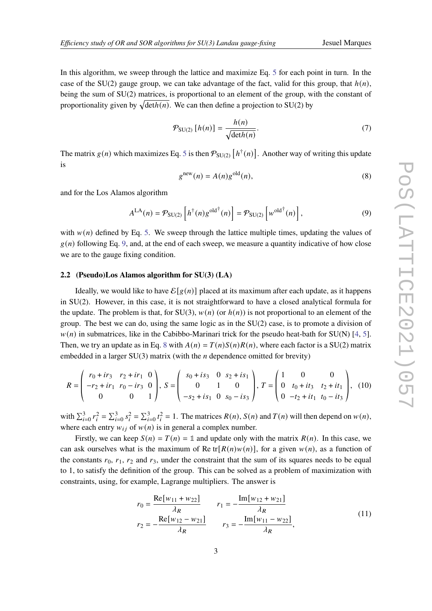In this algorithm, we sweep through the lattice and maximize Eq. [5](#page-1-0) for each point in turn. In the case of the SU(2) gauge group, we can take advantage of the fact, valid for this group, that  $h(n)$ , being the sum of SU(2) matrices, is proportional to an element of the group, with the constant of proportionality given by  $\sqrt{\det h(n)}$ . We can then define a projection to SU(2) by

$$
\mathcal{P}_{\text{SU}(2)}\left[h(n)\right] = \frac{h(n)}{\sqrt{\det h(n)}}.\tag{7}
$$

The matrix  $g(n)$  which maximizes Eq. [5](#page-1-0) is then  $\mathcal{P}_{SU(2)}\left[h^{\dagger}(n)\right]$ . Another way of writing this update is

<span id="page-2-1"></span>
$$
gnew(n) = A(n)gold(n),
$$
\n(8)

and for the Los Alamos algorithm

<span id="page-2-0"></span>
$$
A^{\text{LA}}(n) = \mathcal{P}_{\text{SU}(2)}\left[h^{\dagger}(n)g^{\text{old}\dagger}(n)\right] = \mathcal{P}_{\text{SU}(2)}\left[w^{\text{old}\dagger}(n)\right],\tag{9}
$$

with  $w(n)$  defined by Eq. [5.](#page-1-0) We sweep through the lattice multiple times, updating the values of  $g(n)$  following Eq. [9,](#page-2-0) and, at the end of each sweep, we measure a quantity indicative of how close we are to the gauge fixing condition.

### **2.2 (Pseudo)Los Alamos algorithm for SU(3) (LA)**

Ideally, we would like to have  $\mathcal{E}[g(n)]$  placed at its maximum after each update, as it happens in SU(2). However, in this case, it is not straightforward to have a closed analytical formula for the update. The problem is that, for SU(3),  $w(n)$  (or  $h(n)$ ) is not proportional to an element of the group. The best we can do, using the same logic as in the SU(2) case, is to promote a division of  $w(n)$  in submatrices, like in the Cabibbo-Marinari trick for the pseudo heat-bath for SU(N) [\[4,](#page-7-3) [5\]](#page-7-4). Then, we try an update as in Eq. [8](#page-2-1) with  $A(n) = T(n)S(n)R(n)$ , where each factor is a SU(2) matrix embedded in a larger  $SU(3)$  matrix (with the *n* dependence omitted for brevity)

<span id="page-2-3"></span>
$$
R = \begin{pmatrix} r_0 + ir_3 & r_2 + ir_1 & 0 \\ -r_2 + ir_1 & r_0 - ir_3 & 0 \\ 0 & 0 & 1 \end{pmatrix}, S = \begin{pmatrix} s_0 + is_3 & 0 & s_2 + is_1 \\ 0 & 1 & 0 \\ -s_2 + is_1 & 0 & s_0 - is_3 \end{pmatrix}, T = \begin{pmatrix} 1 & 0 & 0 \\ 0 & t_0 + it_3 & t_2 + it_1 \\ 0 & -t_2 + it_1 & t_0 - it_3 \end{pmatrix}, (10)
$$

with  $\sum_{i=0}^{3} r_i^2 = \sum_{i=0}^{3} s_i^2 = \sum_{i=0}^{3} t_i^2 = 1$ . The matrices  $R(n)$ ,  $S(n)$  and  $T(n)$  will then depend on  $w(n)$ , where each entry  $w_{ij}$  of  $w(n)$  is in general a complex number.

Firstly, we can keep  $S(n) = T(n) = 1$  and update only with the matrix  $R(n)$ . In this case, we can ask ourselves what is the maximum of Re tr[ $R(n)w(n)$ ], for a given  $w(n)$ , as a function of the constants  $r_0$ ,  $r_1$ ,  $r_2$  and  $r_3$ , under the constraint that the sum of its squares needs to be equal to 1, to satisfy the definition of the group. This can be solved as a problem of maximization with constraints, using, for example, Lagrange multipliers. The answer is

<span id="page-2-2"></span>
$$
r_0 = \frac{\text{Re}[w_{11} + w_{22}]}{\lambda_R} \qquad r_1 = -\frac{\text{Im}[w_{12} + w_{21}]}{\lambda_R}
$$
  

$$
r_2 = -\frac{\text{Re}[w_{12} - w_{21}]}{\lambda_R} \qquad r_3 = -\frac{\text{Im}[w_{11} - w_{22}]}{\lambda_R},
$$
 (11)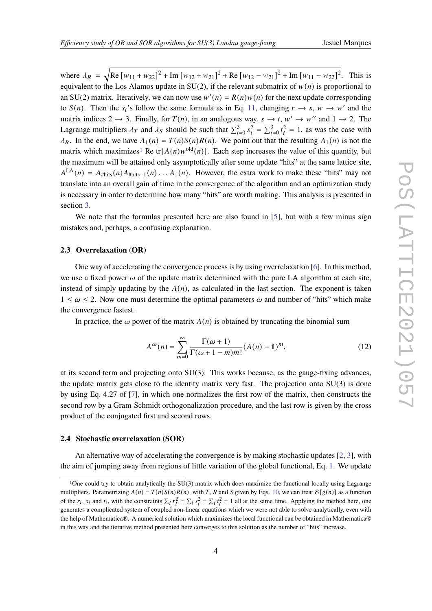where  $\lambda_R = \sqrt{\text{Re}[w_{11} + w_{22}]^2 + \text{Im}[w_{12} + w_{21}]^2 + \text{Re}[w_{12} - w_{21}]^2 + \text{Im}[w_{11} - w_{22}]^2}$ . This is equivalent to the Los Alamos update in  $SU(2)$ , if the relevant submatrix of  $w(n)$  is proportional to an SU(2) matrix. Iteratively, we can now use  $w'(n) = R(n)w(n)$  for the next update corresponding to  $S(n)$ . Then the  $s_i$ 's follow the same formula as in Eq. [11,](#page-2-2) changing  $r \to s$ ,  $w \to w'$  and the matrix indices  $2 \rightarrow 3$ . Finally, for  $T(n)$ , in an analogous way,  $s \rightarrow t$ ,  $w' \rightarrow w''$  and  $1 \rightarrow 2$ . The Lagrange multipliers  $\lambda_T$  and  $\lambda_S$  should be such that  $\sum_{i=0}^{3} s_i^2 = \sum_{i=0}^{3} t_i^2 = 1$ , as was the case with  $\lambda_R$ . In the end, we have  $A_1(n) = T(n)S(n)R(n)$ . We point out that the resulting  $A_1(n)$  is not the matrix which maximizes<sup>[1](#page-3-0)</sup> Re tr[ $A(n)w^{\text{old}}(n)$ ]. Each step increases the value of this quantity, but the maximum will be attained only asymptotically after some update "hits" at the same lattice site,  $A<sup>LA</sup>(n) = A<sub>#hits</sub>(n)A<sub>#hits-1</sub>(n) \ldots A<sub>1</sub>(n)$ . However, the extra work to make these "hits" may not translate into an overall gain of time in the convergence of the algorithm and an optimization study is necessary in order to determine how many "hits" are worth making. This analysis is presented in section [3.](#page-4-0)

We note that the formulas presented here are also found in [\[5\]](#page-7-4), but with a few minus sign mistakes and, perhaps, a confusing explanation.

### **2.3 Overrelaxation (OR)**

One way of accelerating the convergence process is by using overrelaxation [\[6\]](#page-7-5). In this method, we use a fixed power  $\omega$  of the update matrix determined with the pure LA algorithm at each site, instead of simply updating by the  $A(n)$ , as calculated in the last section. The exponent is taken  $1 \leq \omega \leq 2$ . Now one must determine the optimal parameters  $\omega$  and number of "hits" which make the convergence fastest.

In practice, the  $\omega$  power of the matrix  $A(n)$  is obtained by truncating the binomial sum

$$
A^{\omega}(n) = \sum_{m=0}^{\infty} \frac{\Gamma(\omega + 1)}{\Gamma(\omega + 1 - m)m!} (A(n) - 1)^m,
$$
 (12)

at its second term and projecting onto SU(3). This works because, as the gauge-fixing advances, the update matrix gets close to the identity matrix very fast. The projection onto SU(3) is done by using Eq. 4.27 of [\[7\]](#page-7-6), in which one normalizes the first row of the matrix, then constructs the second row by a Gram-Schmidt orthogonalization procedure, and the last row is given by the cross product of the conjugated first and second rows.

### **2.4 Stochastic overrelaxation (SOR)**

An alternative way of accelerating the convergence is by making stochastic updates [\[2,](#page-7-1) [3\]](#page-7-2), with the aim of jumping away from regions of little variation of the global functional, Eq. [1.](#page-1-1) We update

<span id="page-3-0"></span><sup>1</sup>One could try to obtain analytically the SU(3) matrix which does maximize the functional locally using Lagrange multipliers. Parametrizing  $A(n) = T(n)S(n)R(n)$ , with T, R and S given by Eqs. [10,](#page-2-3) we can treat  $\mathcal{E}[g(n)]$  as a function of the  $r_i$ ,  $s_i$  and  $t_i$ , with the constraints  $\sum_i r_i^2 = \sum_i s_i^2 = \sum_i t_i^2 = 1$  all at the same time. Applying the method here, one generates a complicated system of coupled non-linear equations which we were not able to solve analytically, even with the help of Mathematica®. A numerical solution which maximizes the local functional can be obtained in Mathematica® in this way and the iterative method presented here converges to this solution as the number of "hits" increase.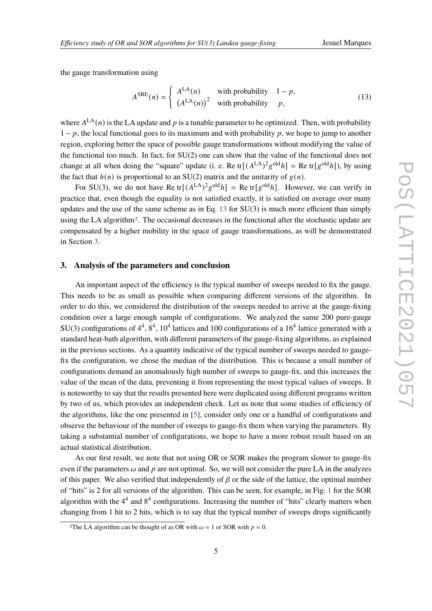the gauge transformation using

<span id="page-4-1"></span>
$$
ASRE(n) = \begin{cases} ALA(n) & \text{with probability} \quad 1 - p, \\ (ALA(n))^{2} & \text{with probability} \quad p, \end{cases}
$$
 (13)

where  $A<sup>LA</sup>(n)$  is the LA update and p is a tunable parameter to be optimized. Then, with probability  $1 - p$ , the local functional goes to its maximum and with probability p, we hope to jump to another region, exploring better the space of possible gauge transformations without modifying the value of the functional too much. In fact, for SU(2) one can show that the value of the functional does not change at all when doing the "square" update (i. e. Re tr[ $(A<sup>LA</sup>)<sup>2</sup>g<sup>old</sup>h$ ] = Re tr[ $g<sup>old</sup>h$ ]), by using the fact that  $h(n)$  is proportional to an SU(2) matrix and the unitarity of  $g(n)$ .

For SU(3), we do not have Re tr[ $(A<sup>LA</sup>)<sup>2</sup>g<sup>old</sup>h$ ] = Re tr[ $g<sup>old</sup>h$ ]. However, we can verify in practice that, even though the equality is not satisfied exactly, it is satisfied on average over many updates and the use of the same scheme as in Eq.  $13$  for  $SU(3)$  is much more efficient than simply using the LA algorithm[2](#page-4-2). The occasional decreases in the functional after the stochastic update are compensated by a higher mobility in the space of gauge transformations, as will be demonstrated in Section [3.](#page-4-0)

### <span id="page-4-0"></span>**3. Analysis of the parameters and conclusion**

An important aspect of the efficiency is the typical number of sweeps needed to fix the gauge. This needs to be as small as possible when comparing different versions of the algorithm. In order to do this, we considered the distribution of the sweeps needed to arrive at the gauge-fixing condition over a large enough sample of configurations. We analyzed the same 200 pure-gauge SU(3) configurations of  $4^4$ ,  $8^4$ ,  $10^4$  lattices and 100 configurations of a 16<sup>4</sup> lattice generated with a standard heat-bath algorithm, with different parameters of the gauge-fixing algorithms, as explained in the previous sections. As a quantity indicative of the typical number of sweeps needed to gaugefix the configuration, we chose the median of the distribution. This is because a small number of configurations demand an anomalously high number of sweeps to gauge-fix, and this increases the value of the mean of the data, preventing it from representing the most typical values of sweeps. It is noteworthy to say that the results presented here were duplicated using different programs written by two of us, which provides an independent check. Let us note that some studies of efficiency of the algorithms, like the one presented in [\[5\]](#page-7-4), consider only one or a handful of configurations and observe the behaviour of the number of sweeps to gauge-fix them when varying the parameters. By taking a substantial number of configurations, we hope to have a more robust result based on an actual statistical distribution.

As our first result, we note that not using OR or SOR makes the program slower to gauge-fix even if the parameters  $\omega$  and  $p$  are not optimal. So, we will not consider the pure LA in the analyzes of this paper. We also verified that independently of  $\beta$  or the side of the lattice, the optimal number of "hits" is 2 for all versions of the algorithm. This can be seen, for example, in Fig. [1](#page-5-0) for the SOR algorithm with the  $4<sup>4</sup>$  and  $8<sup>4</sup>$  configurations. Increasing the number of "hits" clearly matters when changing from 1 hit to 2 hits, which is to say that the typical number of sweeps drops significantly

<span id="page-4-2"></span><sup>&</sup>lt;sup>2</sup>The LA algorithm can be thought of as OR with  $\omega = 1$  or SOR with  $p = 0$ .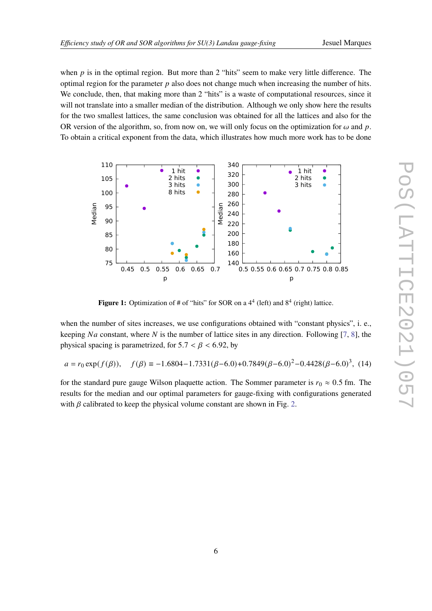when  $p$  is in the optimal region. But more than 2 "hits" seem to make very little difference. The optimal region for the parameter  $p$  also does not change much when increasing the number of hits. We conclude, then, that making more than 2 "hits" is a waste of computational resources, since it will not translate into a smaller median of the distribution. Although we only show here the results for the two smallest lattices, the same conclusion was obtained for all the lattices and also for the OR version of the algorithm, so, from now on, we will only focus on the optimization for  $\omega$  and  $p$ . To obtain a critical exponent from the data, which illustrates how much more work has to be done

<span id="page-5-0"></span>

**Figure 1:** Optimization of  $#$  of "hits" for SOR on a  $4^4$  (left) and  $8^4$  (right) lattice.

when the number of sites increases, we use configurations obtained with "constant physics", i. e., keeping Na constant, where N is the number of lattice sites in any direction. Following [\[7,](#page-7-6) [8\]](#page-7-7), the physical spacing is parametrized, for  $5.7 < \beta < 6.92$ , by

$$
a = r_0 \exp(f(\beta)), \quad f(\beta) \equiv -1.6804 - 1.7331(\beta - 6.0) + 0.7849(\beta - 6.0)^2 - 0.4428(\beta - 6.0)^3, (14)
$$

for the standard pure gauge Wilson plaquette action. The Sommer parameter is  $r_0 \approx 0.5$  fm. The results for the median and our optimal parameters for gauge-fixing with configurations generated with  $\beta$  calibrated to keep the physical volume constant are shown in Fig. [2.](#page-6-0)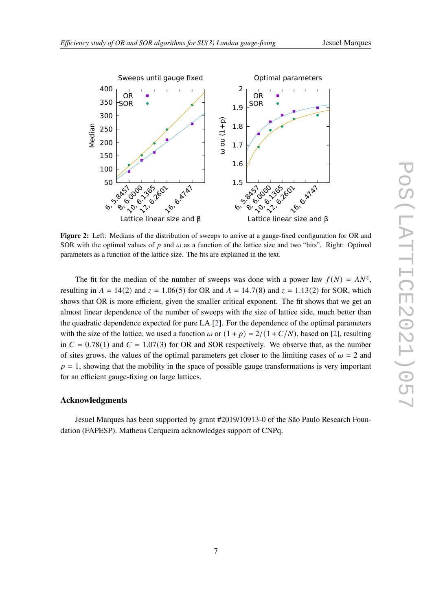<span id="page-6-0"></span>

**Figure 2:** Left: Medians of the distribution of sweeps to arrive at a gauge-fixed configuration for OR and SOR with the optimal values of  $p$  and  $\omega$  as a function of the lattice size and two "hits". Right: Optimal parameters as a function of the lattice size. The fits are explained in the text.

The fit for the median of the number of sweeps was done with a power law  $f(N) = AN^z$ , resulting in  $A = 14(2)$  and  $z = 1.06(5)$  for OR and  $A = 14.7(8)$  and  $z = 1.13(2)$  for SOR, which shows that OR is more efficient, given the smaller critical exponent. The fit shows that we get an almost linear dependence of the number of sweeps with the size of lattice side, much better than the quadratic dependence expected for pure LA [\[2\]](#page-7-1). For the dependence of the optimal parameters with the size of the lattice, we used a function  $\omega$  or  $(1 + p) = 2/(1 + C/N)$ , based on [\[2\]](#page-7-1), resulting in  $C = 0.78(1)$  and  $C = 1.07(3)$  for OR and SOR respectively. We observe that, as the number of sites grows, the values of the optimal parameters get closer to the limiting cases of  $\omega = 2$  and  $p = 1$ , showing that the mobility in the space of possible gauge transformations is very important for an efficient gauge-fixing on large lattices.

# **Acknowledgments**

Jesuel Marques has been supported by grant #2019/10913-0 of the São Paulo Research Foundation (FAPESP). Matheus Cerqueira acknowledges support of CNPq.